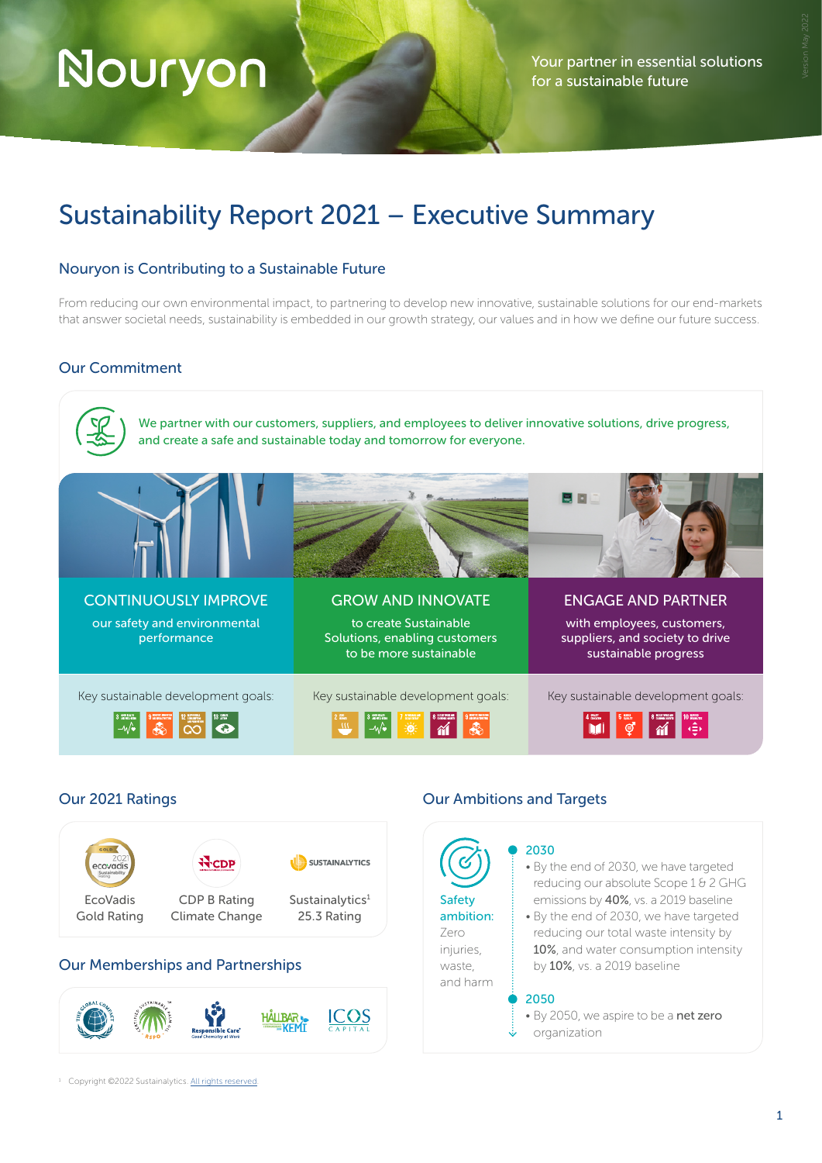# Nouryon

Your partner in essential solutions for a sustainable future

# Sustainability Report 2021 – Executive Summary

# Nouryon is Contributing to a Sustainable Future

From reducing our own environmental impact, to partnering to develop new innovative, sustainable solutions for our end-markets that answer societal needs, sustainability is embedded in our growth strategy, our values and in how we define our future success.

# Our Commitment



# Our 2021 Ratings



# Our Memberships and Partnerships



# Our Ambitions and Targets

Safety ambition: Zero injuries, waste, and harm

#### 2030

• By the end of 2030, we have targeted reducing our absolute Scope 1 & 2 GHG emissions by 40%, vs. a 2019 baseline

• By the end of 2030, we have targeted reducing our total waste intensity by 10%, and water consumption intensity by 10%, vs. a 2019 baseline

#### 2050

• By 2050, we aspire to be a net zero organization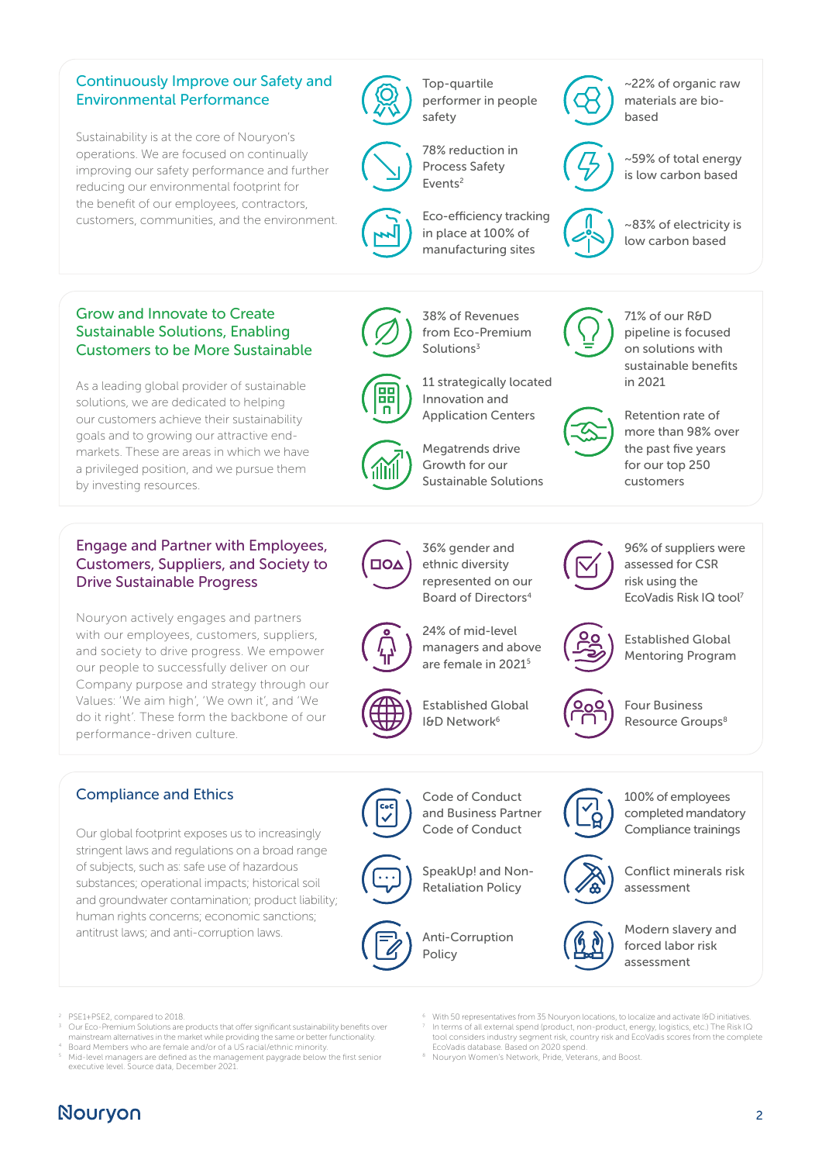# Continuously Improve our Safety and Environmental Performance

Sustainability is at the core of Nouryon's operations. We are focused on continually improving our safety performance and further reducing our environmental footprint for the benefit of our employees, contractors, customers, communities, and the environment.

Top-quartile performer in people safety



78% reduction in



Process Safety Events2

Innovation and Application Centers

Solutions<sup>3</sup>

38% of Revenues from Eco-Premium

Megatrends drive Growth for our Sustainable Solutions

36% gender and ethnic diversity

Eco-efficiency tracking in place at 100% of manufacturing sites

# ~22% of organic raw materials are biobased

~59% of total energy is low carbon based



11 strategically located in 2021

~83% of electricity is low carbon based

# Grow and Innovate to Create Sustainable Solutions, Enabling Customers to be More Sustainable

As a leading global provider of sustainable solutions, we are dedicated to helping our customers achieve their sustainability goals and to growing our attractive endmarkets. These are areas in which we have a privileged position, and we pursue them by investing resources.

# Engage and Partner with Employees, Customers, Suppliers, and Society to Drive Sustainable Progress

Nouryon actively engages and partners with our employees, customers, suppliers, and society to drive progress. We empower our people to successfully deliver on our Company purpose and strategy through our Values: 'We aim high', 'We own it', and 'We do it right'. These form the backbone of our performance-driven culture.

# $\Box$

represented on our Board of Directors4

24% of mid-level managers and above are female in 20215



Established Global I&D Network<sup>6</sup>



96% of suppliers were assessed for CSR risk using the EcoVadis Risk IQ tool7

Retention rate of more than 98% over the past five years for our top 250 customers

71% of our R&D pipeline is focused on solutions with sustainable benefits

Established Global Mentoring Program



Four Business



Resource Groups<sup>8</sup>

# Compliance and Ethics

Our global footprint exposes us to increasingly stringent laws and regulations on a broad range of subjects, such as: safe use of hazardous substances; operational impacts; historical soil and groundwater contamination; product liability; human rights concerns; economic sanctions; antitrust laws; and anti-corruption laws.



Code of Conduct and Business Partner Code of Conduct

SpeakUp! and Non-Retaliation Policy

Anti-Corruption Policy



100% of employees completed mandatory Compliance trainings



Conflict minerals risk assessment



Modern slavery and forced labor risk assessment

2 PSE1+PSE2, compared to 2018.

- Our Eco-Premium Solutions are products that offer significant sustainability benefits over mainstream alternatives in the market while providing the same or better functionality.
- With 50 representatives from 35 Nouryon locations, to localize and activate I&D initiatives. In terms of all external spend (product, non-product, energy, logistics, etc.) The Risk IQ tool considers industry segment risk, country risk and EcoVadis scores from the complete EcoVadis database. Based on 2020 spend.
- 8 Nouryon Women's Network, Pride, Veterans, and Boost.
- 
- Board Members who are female and/or of a US racial/ethnic minority.
- 5 Mid-level managers are defined as the management paygrade below the first senior executive level. Source data, December 2021.

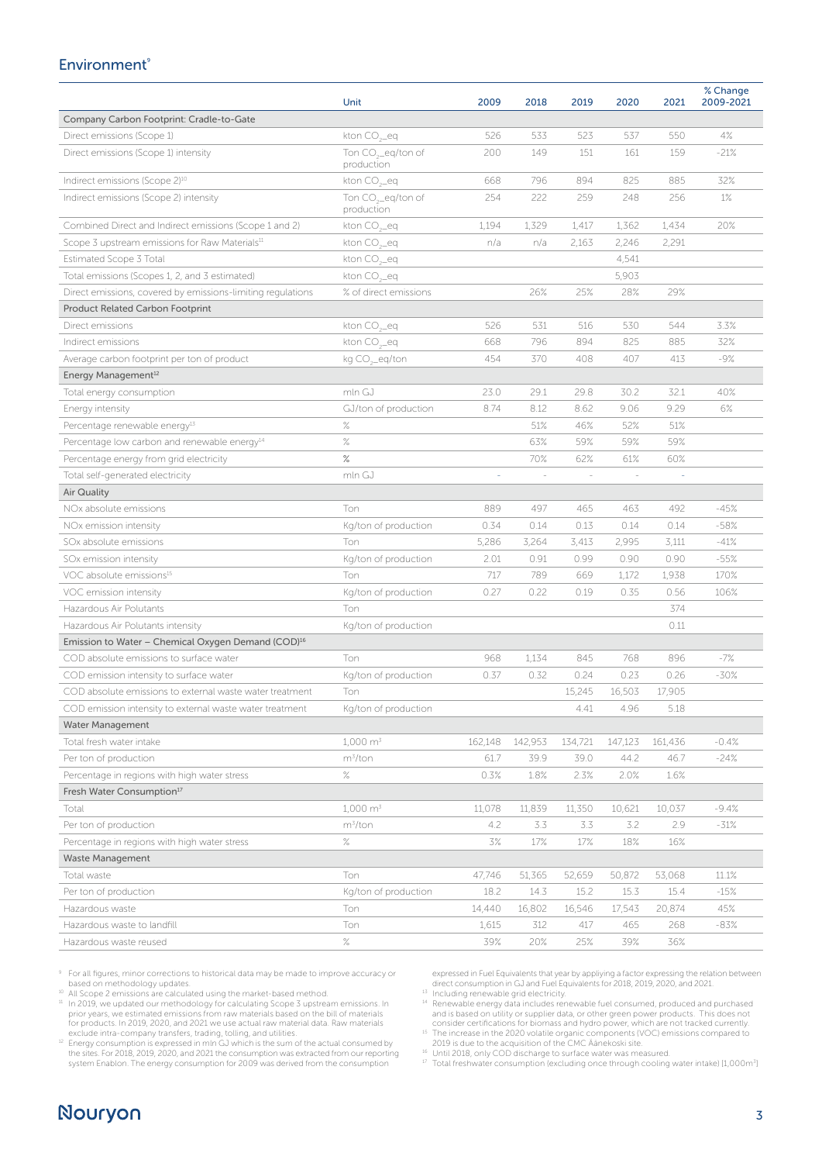### **Environment**®

|                                                             | Unit                                         | 2009                     | 2018          | 2019    | 2020    | 2021    | % Change<br>2009-2021 |
|-------------------------------------------------------------|----------------------------------------------|--------------------------|---------------|---------|---------|---------|-----------------------|
| Company Carbon Footprint: Cradle-to-Gate                    |                                              |                          |               |         |         |         |                       |
| Direct emissions (Scope 1)                                  | kton CO <sub>2</sub> eq                      | 526                      | 533           | 523     | 537     | 550     | 4%                    |
| Direct emissions (Scope 1) intensity                        | Ton CO <sub>2</sub> eq/ton of<br>production  | 200                      | 149           | 151     | 161     | 159     | $-21%$                |
| Indirect emissions (Scope 2) <sup>10</sup>                  | kton CO <sub>2</sub> eq                      | 668                      | 796           | 894     | 825     | 885     | 32%                   |
| Indirect emissions (Scope 2) intensity                      | Ton CO <sub>2-eq</sub> /ton of<br>production | 254                      | 222           | 259     | 248     | 256     | $1\%$                 |
| Combined Direct and Indirect emissions (Scope 1 and 2)      | kton CO <sub>2</sub> eq                      | 1,194                    | 1,329         | 1,417   | 1,362   | 1,434   | 20%                   |
| Scope 3 upstream emissions for Raw Materials <sup>11</sup>  | kton CO <sub>2-eq</sub>                      | n/a                      | n/a           | 2,163   | 2,246   | 2,291   |                       |
| Estimated Scope 3 Total                                     | kton CO <sub>2-</sub> eq                     |                          |               |         | 4,541   |         |                       |
| Total emissions (Scopes 1, 2, and 3 estimated)              | kton CO <sub>2-</sub> eq                     |                          |               |         | 5,903   |         |                       |
| Direct emissions, covered by emissions-limiting regulations | % of direct emissions                        |                          | 26%           | 25%     | 28%     | 29%     |                       |
| <b>Product Related Carbon Footprint</b>                     |                                              |                          |               |         |         |         |                       |
| Direct emissions                                            | kton CO <sub>2-</sub> eq                     | 526                      | 531           | 516     | 530     | 544     | 3.3%                  |
| Indirect emissions                                          | kton CO <sub>2</sub> eq                      | 668                      | 796           | 894     | 825     | 885     | 32%                   |
| Average carbon footprint per ton of product                 | kg CO <sub>2</sub> eq/ton                    | 454                      | 370           | 408     | 407     | 413     | $-9%$                 |
| Energy Management <sup>12</sup>                             |                                              |                          |               |         |         |         |                       |
| Total energy consumption                                    | mln GJ                                       | 23.0                     | 29.1          | 29.8    | 30.2    | 32.1    | 40%                   |
| Energy intensity                                            | GJ/ton of production                         | 8.74                     | 8.12          | 8.62    | 9.06    | 9.29    | 6%                    |
| Percentage renewable energy <sup>13</sup>                   | $\%$                                         |                          | 51%           | 46%     | 52%     | 51%     |                       |
| Percentage low carbon and renewable energy <sup>14</sup>    | $\%$                                         |                          | 63%           | 59%     | 59%     | 59%     |                       |
| Percentage energy from grid electricity                     | $\%$                                         |                          | 70%           | 62%     | 61%     | 60%     |                       |
| Total self-generated electricity                            | mln GJ                                       | $\overline{\phantom{a}}$ | $\frac{1}{2}$ |         | $\sim$  |         |                       |
| <b>Air Quality</b>                                          |                                              |                          |               |         |         |         |                       |
| NO <sub>x</sub> absolute emissions                          | Ton                                          | 889                      | 497           | 465     | 463     | 492     | $-45%$                |
| NOx emission intensity                                      | Kg/ton of production                         | 0.34                     | 0.14          | 0.13    | 0.14    | 0.14    | $-58%$                |
| SOx absolute emissions                                      | Ton                                          | 5,286                    | 3,264         | 3,413   | 2,995   | 3,111   | $-41%$                |
| SOx emission intensity                                      | Kg/ton of production                         | 2.01                     | 0.91          | 0.99    | 0.90    | 0.90    | $-55%$                |
| VOC absolute emissions <sup>15</sup>                        | Ton                                          | 717                      | 789           | 669     | 1,172   | 1,938   | 170%                  |
| VOC emission intensity                                      | Kg/ton of production                         | 0.27                     | 0.22          | 0.19    | 0.35    | 0.56    | 106%                  |
| Hazardous Air Polutants                                     | Ton                                          |                          |               |         |         | 374     |                       |
| Hazardous Air Polutants intensity                           | Kg/ton of production                         |                          |               |         |         | 0.11    |                       |
| Emission to Water – Chemical Oxygen Demand (COD) $^{16}$    |                                              |                          |               |         |         |         |                       |
| COD absolute emissions to surface water                     | Ton                                          | 968                      | 1,134         | 845     | 768     | 896     | $-7%$                 |
| COD emission intensity to surface water                     | Kg/ton of production                         | 0.37                     | 0.32          | 0.24    | 0.23    | 0.26    | $-30%$                |
| COD absolute emissions to external waste water treatment    | Ton                                          |                          |               | 15,245  | 16,503  | 17,905  |                       |
| COD emission intensity to external waste water treatment    | Kg/ton of production                         |                          |               | 4.41    | 4.96    | 5.18    |                       |
| <b>Water Management</b>                                     |                                              |                          |               |         |         |         |                       |
| Total fresh water intake                                    | $1,000 \text{ m}^3$                          | 162,148                  | 142,953       | 134,721 | 147,123 | 161,436 | $-0.4%$               |
| Per ton of production                                       | $m^3$ /ton                                   | 61.7                     | 39.9          | 39.0    | 44.2    | 46.7    | $-24%$                |
| Percentage in regions with high water stress                | $\%$                                         | 0.3%                     | 1.8%          | 2.3%    | 2.0%    | 1.6%    |                       |
| Fresh Water Consumption <sup>17</sup>                       |                                              |                          |               |         |         |         |                       |
| Total                                                       | $1,000 \text{ m}^3$                          | 11,078                   | 11,839        | 11,350  | 10,621  | 10,037  | $-9.4%$               |
| Per ton of production                                       | m <sup>3</sup> /ton                          | 4.2                      | 3.3           | 3.3     | 3.2     | 2.9     | $-31%$                |
| Percentage in regions with high water stress                | $\%$                                         | 3%                       | 17%           | 17%     | 18%     | 16%     |                       |
| <b>Waste Management</b>                                     |                                              |                          |               |         |         |         |                       |
| Total waste                                                 | Ton                                          | 47,746                   | 51,365        | 52,659  | 50,872  | 53,068  | 11.1%                 |
| Per ton of production                                       | Kg/ton of production                         | 18.2                     | 14.3          | 15.2    | 15.3    | 15.4    | $-15%$                |
| Hazardous waste                                             | Ton                                          | 14,440                   | 16,802        | 16,546  | 17,543  | 20,874  | 45%                   |
| Hazardous waste to landfill                                 | Ton                                          | 1,615                    | 312           | 417     | 465     | 268     | -83%                  |
| Hazardous waste reused                                      | $\%$                                         | 39%                      | 20%           | 25%     | 39%     | 36%     |                       |

9 For all figures, minor corrections to historical data may be made to improve accuracy or

based on methodology updates. 10 All Scope 2 emissions are calculated using the market-based method.

<sup>11</sup> In 2019, we updated our methodology for calculating Scope 3 upstream emissions. In prior years, we estimated emissions from raw materials based on the bill of materials<br>for products. In 2019, 2020, and 2021 we use actual raw material data. Raw materials

exclude intra-company transfers, trading, tolling, and utilities.<br><sup>12</sup> Energy consumption is expressed in mln GJ which is the sum of the actual consumed by the sites. For 2018, 2019, 2020, and 2021 the consumption was extracted from our reporting system Enablon. The energy consumption for 2009 was derived from the consumption

expressed in Fuel Equivalents that year by appliying a factor expressing the relation between direct consumption in GJ and Fuel Equivalents for 2018, 2019, 2020, and 2021.<br><sup>13</sup> Including renewable grid electricity.<br><sup>14</sup> Renewable energy data includes renewable fuel consumed, produced and purchased

and is based on utility or supplier data, or other green power products. This does not consider certifications for biomass and hydro power, which are not tracked currently.

<sup>15</sup> The increase in the 2020 volatile organic components (VOC) emissions compared to 2010 is due to the acquisition of the CMC Äänekoski site.

 $^{16}$  Until 2018, only COD discharge to surface water was measured.<br>17 Total freshwater consumption (excluding once through cooling water intake) [1,000m<sup>3</sup>]

# Nouryon